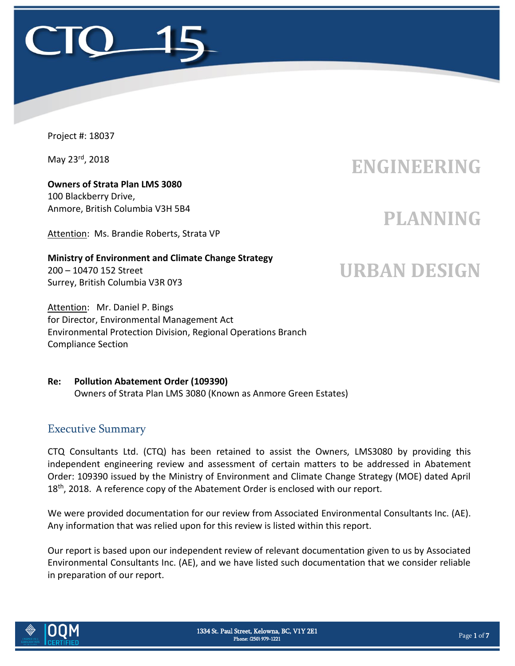

Project #: 18037

May 23<sup>rd</sup>, 2018

**Owners of Strata Plan LMS 3080** 100 Blackberry Drive, Anmore, British Columbia V3H 5B4

Attention: Ms. Brandie Roberts, Strata VP

#### **Ministry of Environment and Climate Change Strategy** 200 – 10470 152 Street Surrey, British Columbia V3R 0Y3

Attention: Mr. Daniel P. Bings for Director, Environmental Management Act Environmental Protection Division, Regional Operations Branch Compliance Section

### **Re: Pollution Abatement Order (109390)** Owners of Strata Plan LMS 3080 (Known as Anmore Green Estates)

## Executive Summary

CTQ Consultants Ltd. (CTQ) has been retained to assist the Owners, LMS3080 by providing this independent engineering review and assessment of certain matters to be addressed in Abatement Order: 109390 issued by the Ministry of Environment and Climate Change Strategy (MOE) dated April 18<sup>th</sup>, 2018. A reference copy of the Abatement Order is enclosed with our report.

We were provided documentation for our review from Associated Environmental Consultants Inc. (AE). Any information that was relied upon for this review is listed within this report.

Our report is based upon our independent review of relevant documentation given to us by Associated Environmental Consultants Inc. (AE), and we have listed such documentation that we consider reliable in preparation of our report.



## **ENGINEERING**

## **PLANNING**

# **URBAN DESIGN**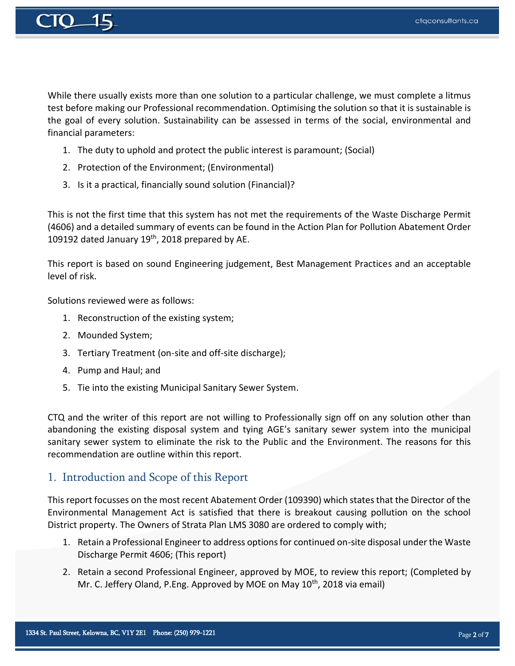

While there usually exists more than one solution to a particular challenge, we must complete a litmus test before making our Professional recommendation. Optimising the solution so that it is sustainable is the goal of every solution. Sustainability can be assessed in terms of the social, environmental and financial parameters:

- 1. The duty to uphold and protect the public interest is paramount; (Social)
- 2. Protection of the Environment; (Environmental)
- 3. Is it a practical, financially sound solution (Financial)?

This is not the first time that this system has not met the requirements of the Waste Discharge Permit (4606) and a detailed summary of events can be found in the Action Plan for Pollution Abatement Order 109192 dated January 19<sup>th</sup>, 2018 prepared by AE.

This report is based on sound Engineering judgement, Best Management Practices and an acceptable level of risk.

Solutions reviewed were as follows:

- 1. Reconstruction of the existing system;
- 2. Mounded System;
- 3. Tertiary Treatment (on-site and off-site discharge);
- 4. Pump and Haul; and
- 5. Tie into the existing Municipal Sanitary Sewer System.

CTQ and the writer of this report are not willing to Professionally sign off on any solution other than abandoning the existing disposal system and tying AGE's sanitary sewer system into the municipal sanitary sewer system to eliminate the risk to the Public and the Environment. The reasons for this recommendation are outline within this report.

#### 1. Introduction and Scope of this Report

This report focusses on the most recent Abatement Order (109390) which states that the Director of the Environmental Management Act is satisfied that there is breakout causing pollution on the school District property. The Owners of Strata Plan LMS 3080 are ordered to comply with;

- 1. Retain a Professional Engineer to address options for continued on-site disposal under the Waste Discharge Permit 4606; (This report)
- 2. Retain a second Professional Engineer, approved by MOE, to review this report; (Completed by Mr. C. Jeffery Oland, P.Eng. Approved by MOE on May 10<sup>th</sup>, 2018 via email)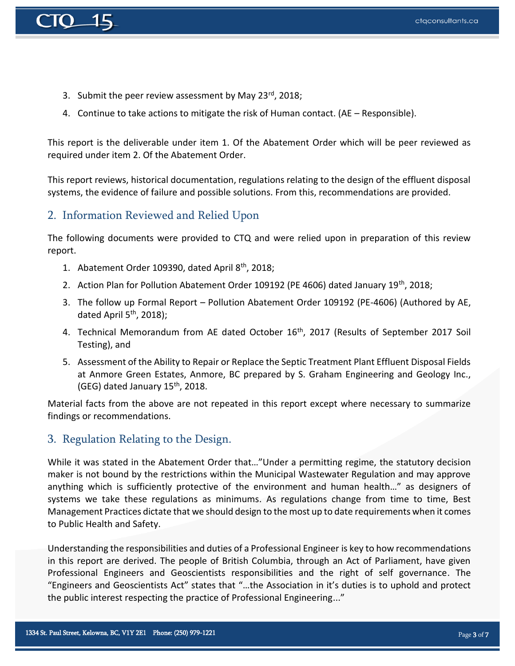

- 3. Submit the peer review assessment by May 23 $^{rd}$ , 2018;
- 4. Continue to take actions to mitigate the risk of Human contact. (AE Responsible).

This report is the deliverable under item 1. Of the Abatement Order which will be peer reviewed as required under item 2. Of the Abatement Order.

This report reviews, historical documentation, regulations relating to the design of the effluent disposal systems, the evidence of failure and possible solutions. From this, recommendations are provided.

## 2. Information Reviewed and Relied Upon

The following documents were provided to CTQ and were relied upon in preparation of this review report.

- 1. Abatement Order 109390, dated April 8th, 2018;
- 2. Action Plan for Pollution Abatement Order 109192 (PE 4606) dated January 19<sup>th</sup>, 2018;
- 3. The follow up Formal Report Pollution Abatement Order 109192 (PE-4606) (Authored by AE, dated April 5<sup>th</sup>, 2018);
- 4. Technical Memorandum from AE dated October 16<sup>th</sup>, 2017 (Results of September 2017 Soil Testing), and
- 5. Assessment of the Ability to Repair or Replace the Septic Treatment Plant Effluent Disposal Fields at Anmore Green Estates, Anmore, BC prepared by S. Graham Engineering and Geology Inc., (GEG) dated January  $15<sup>th</sup>$ , 2018.

Material facts from the above are not repeated in this report except where necessary to summarize findings or recommendations.

### 3. Regulation Relating to the Design.

While it was stated in the Abatement Order that…"Under a permitting regime, the statutory decision maker is not bound by the restrictions within the Municipal Wastewater Regulation and may approve anything which is sufficiently protective of the environment and human health…" as designers of systems we take these regulations as minimums. As regulations change from time to time, Best Management Practices dictate that we should design to the most up to date requirements when it comes to Public Health and Safety.

Understanding the responsibilities and duties of a Professional Engineer is key to how recommendations in this report are derived. The people of British Columbia, through an Act of Parliament, have given Professional Engineers and Geoscientists responsibilities and the right of self governance. The "Engineers and Geoscientists Act" states that "…the Association in it's duties is to uphold and protect the public interest respecting the practice of Professional Engineering..."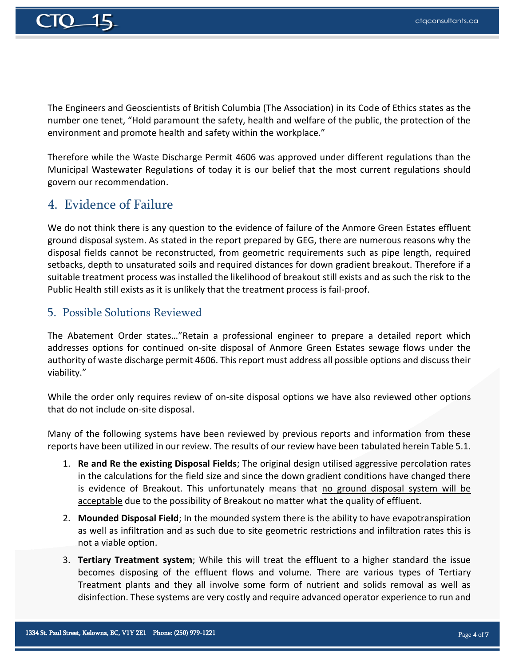

The Engineers and Geoscientists of British Columbia (The Association) in its Code of Ethics states as the number one tenet, "Hold paramount the safety, health and welfare of the public, the protection of the environment and promote health and safety within the workplace."

Therefore while the Waste Discharge Permit 4606 was approved under different regulations than the Municipal Wastewater Regulations of today it is our belief that the most current regulations should govern our recommendation.

## 4. Evidence of Failure

We do not think there is any question to the evidence of failure of the Anmore Green Estates effluent ground disposal system. As stated in the report prepared by GEG, there are numerous reasons why the disposal fields cannot be reconstructed, from geometric requirements such as pipe length, required setbacks, depth to unsaturated soils and required distances for down gradient breakout. Therefore if a suitable treatment process was installed the likelihood of breakout still exists and as such the risk to the Public Health still exists as it is unlikely that the treatment process is fail-proof.

#### 5. Possible Solutions Reviewed

The Abatement Order states…"Retain a professional engineer to prepare a detailed report which addresses options for continued on-site disposal of Anmore Green Estates sewage flows under the authority of waste discharge permit 4606. This report must address all possible options and discuss their viability."

While the order only requires review of on-site disposal options we have also reviewed other options that do not include on-site disposal.

Many of the following systems have been reviewed by previous reports and information from these reports have been utilized in our review. The results of our review have been tabulated herein Table 5.1.

- 1. **Re and Re the existing Disposal Fields**; The original design utilised aggressive percolation rates in the calculations for the field size and since the down gradient conditions have changed there is evidence of Breakout. This unfortunately means that no ground disposal system will be acceptable due to the possibility of Breakout no matter what the quality of effluent.
- 2. **Mounded Disposal Field**; In the mounded system there is the ability to have evapotranspiration as well as infiltration and as such due to site geometric restrictions and infiltration rates this is not a viable option.
- 3. **Tertiary Treatment system**; While this will treat the effluent to a higher standard the issue becomes disposing of the effluent flows and volume. There are various types of Tertiary Treatment plants and they all involve some form of nutrient and solids removal as well as disinfection. These systems are very costly and require advanced operator experience to run and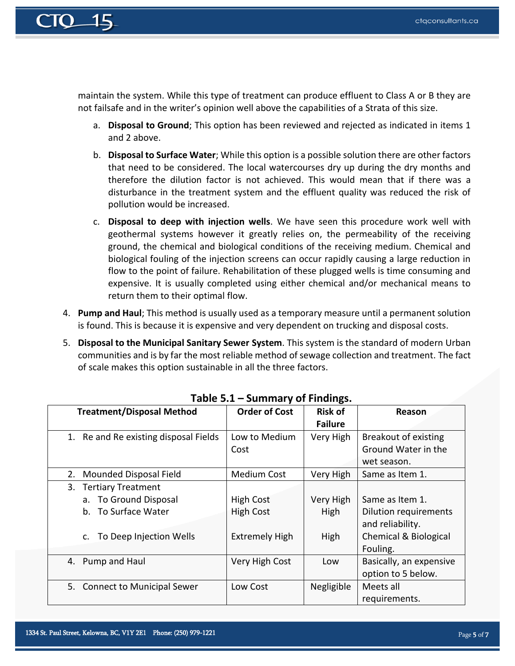

maintain the system. While this type of treatment can produce effluent to Class A or B they are not failsafe and in the writer's opinion well above the capabilities of a Strata of this size.

- a. **Disposal to Ground**; This option has been reviewed and rejected as indicated in items 1 and 2 above.
- b. **Disposal to Surface Water**; While this option is a possible solution there are other factors that need to be considered. The local watercourses dry up during the dry months and therefore the dilution factor is not achieved. This would mean that if there was a disturbance in the treatment system and the effluent quality was reduced the risk of pollution would be increased.
- c. **Disposal to deep with injection wells**. We have seen this procedure work well with geothermal systems however it greatly relies on, the permeability of the receiving ground, the chemical and biological conditions of the receiving medium. Chemical and biological fouling of the injection screens can occur rapidly causing a large reduction in flow to the point of failure. Rehabilitation of these plugged wells is time consuming and expensive. It is usually completed using either chemical and/or mechanical means to return them to their optimal flow.
- 4. **Pump and Haul**; This method is usually used as a temporary measure until a permanent solution is found. This is because it is expensive and very dependent on trucking and disposal costs.
- 5. **Disposal to the Municipal Sanitary Sewer System**. This system is the standard of modern Urban communities and is by far the most reliable method of sewage collection and treatment. The fact of scale makes this option sustainable in all the three factors.

| <b>Treatment/Disposal Method</b>         | <b>Order of Cost</b>  | <b>Risk of</b> | Reason                           |
|------------------------------------------|-----------------------|----------------|----------------------------------|
|                                          |                       | <b>Failure</b> |                                  |
| Re and Re existing disposal Fields<br>1. | Low to Medium         | Very High      | Breakout of existing             |
|                                          | Cost                  |                | Ground Water in the              |
|                                          |                       |                | wet season.                      |
| Mounded Disposal Field<br>2.             | <b>Medium Cost</b>    | Very High      | Same as Item 1.                  |
| 3.<br><b>Tertiary Treatment</b>          |                       |                |                                  |
| To Ground Disposal<br>a.                 | <b>High Cost</b>      | Very High      | Same as Item 1.                  |
| To Surface Water<br>$b_{-}$              | <b>High Cost</b>      | High           | <b>Dilution requirements</b>     |
|                                          |                       |                | and reliability.                 |
| To Deep Injection Wells<br>$C_{\cdot}$   | <b>Extremely High</b> | High           | <b>Chemical &amp; Biological</b> |
|                                          |                       |                | Fouling.                         |
| 4. Pump and Haul                         | Very High Cost        | Low            | Basically, an expensive          |
|                                          |                       |                | option to 5 below.               |
| 5. Connect to Municipal Sewer            | Low Cost              | Negligible     | Meets all                        |
|                                          |                       |                | requirements.                    |

#### **Table 5.1 – Summary of Findings.**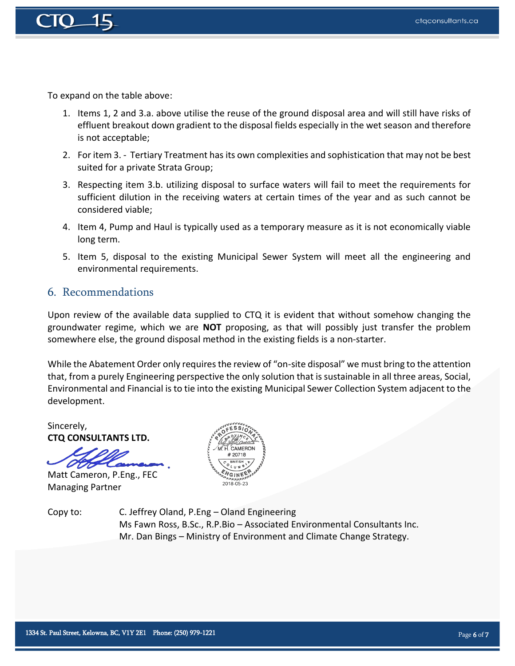

To expand on the table above:

- 1. Items 1, 2 and 3.a. above utilise the reuse of the ground disposal area and will still have risks of effluent breakout down gradient to the disposal fields especially in the wet season and therefore is not acceptable;
- 2. For item 3. Tertiary Treatment has its own complexities and sophistication that may not be best suited for a private Strata Group;
- 3. Respecting item 3.b. utilizing disposal to surface waters will fail to meet the requirements for sufficient dilution in the receiving waters at certain times of the year and as such cannot be considered viable;
- 4. Item 4, Pump and Haul is typically used as a temporary measure as it is not economically viable long term.
- 5. Item 5, disposal to the existing Municipal Sewer System will meet all the engineering and environmental requirements.

#### 6. Recommendations

Upon review of the available data supplied to CTQ it is evident that without somehow changing the groundwater regime, which we are **NOT** proposing, as that will possibly just transfer the problem somewhere else, the ground disposal method in the existing fields is a non-starter.

While the Abatement Order only requires the review of "on-site disposal" we must bring to the attention that, from a purely Engineering perspective the only solution that is sustainable in all three areas, Social, Environmental and Financial is to tie into the existing Municipal Sewer Collection System adjacent to the development.

Sincerely, **CTQ CONSULTANTS LTD.**

Matt Cameron, P.Eng., FEC Managing Partner

**CAMERO** 2018-05-23

Copy to: C. Jeffrey Oland, P.Eng – Oland Engineering Ms Fawn Ross, B.Sc., R.P.Bio – Associated Environmental Consultants Inc. Mr. Dan Bings – Ministry of Environment and Climate Change Strategy.